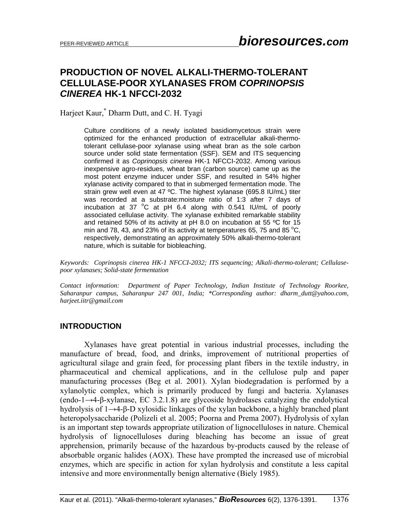# **PRODUCTION OF NOVEL ALKALI-THERMO-TOLERANT CELLULASE-POOR XYLANASES FROM** *COPRINOPSIS CINEREA* **HK-1 NFCCI-2032**

Harjeet Kaur,\* Dharm Dutt, and C. H. Tyagi

Culture conditions of a newly isolated basidiomycetous strain were optimized for the enhanced production of extracellular alkali-thermotolerant cellulase-poor xylanase using wheat bran as the sole carbon source under solid state fermentation (SSF). SEM and ITS sequencing confirmed it as *Coprinopsis cinerea* HK-1 NFCCI-2032. Among various inexpensive agro-residues, wheat bran (carbon source) came up as the most potent enzyme inducer under SSF, and resulted in 54% higher xylanase activity compared to that in submerged fermentation mode. The strain grew well even at 47 ºC. The highest xylanase (695.8 IU/mL) titer was recorded at a substrate:moisture ratio of 1:3 after 7 days of incubation at 37  $^{\circ}$ C at pH 6.4 along with 0.541 IU/mL of poorly associated cellulase activity. The xylanase exhibited remarkable stability and retained 50% of its activity at pH 8.0 on incubation at 55 ºC for 15 min and 78, 43, and 23% of its activity at temperatures 65, 75 and 85  $^{\circ}$ C, respectively, demonstrating an approximately 50% alkali-thermo-tolerant nature, which is suitable for biobleaching.

*Keywords: Coprinopsis cinerea HK-1 NFCCI-2032; ITS sequencing; Alkali-thermo-tolerant; Cellulasepoor xylanases; Solid-state fermentation* 

*Contact information: Department of Paper Technology, Indian Institute of Technology Roorkee, Saharanpur campus, Saharanpur 247 001, India; \*Corresponding author: dharm\_dutt@yahoo.com, harjeet.iitr@gmail.com* 

#### **INTRODUCTION**

 Xylanases have great potential in various industrial processes, including the manufacture of bread, food, and drinks, improvement of nutritional properties of agricultural silage and grain feed, for processing plant fibers in the textile industry, in pharmaceutical and chemical applications, and in the cellulose pulp and paper manufacturing processes (Beg et al. 2001). Xylan biodegradation is performed by a xylanolytic complex, which is primarily produced by fungi and bacteria. Xylanases (endo-1→4-β-xylanase, EC 3.2.1.8) are glycoside hydrolases catalyzing the endolytical hydrolysis of 1→4-β-D xylosidic linkages of the xylan backbone, a highly branched plant heteropolysaccharide (Polizeli et al. 2005; Poorna and Prema 2007). Hydrolysis of xylan is an important step towards appropriate utilization of lignocelluloses in nature. Chemical hydrolysis of lignocelluloses during bleaching has become an issue of great apprehension, primarily because of the hazardous by-products caused by the release of absorbable organic halides (AOX). These have prompted the increased use of microbial enzymes, which are specific in action for xylan hydrolysis and constitute a less capital intensive and more environmentally benign alternative (Biely 1985).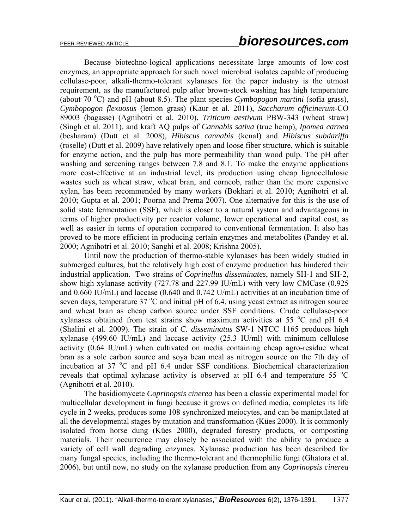Because biotechno-logical applications necessitate large amounts of low-cost enzymes, an appropriate approach for such novel microbial isolates capable of producing cellulase-poor, alkali-thermo-tolerant xylanases for the paper industry is the utmost requirement, as the manufactured pulp after brown-stock washing has high temperature (about 70 °C) and pH (about 8.5). The plant species *Cymbopogon martini* (sofia grass), *Cymbopogon flexuosus* (lemon grass) (Kaur et al. 2011), *Saccharum officinerum*-CO 89003 (bagasse) (Agnihotri et al. 2010), *Triticum aestivum* PBW-343 (wheat straw) (Singh et al. 2011), and kraft AQ pulps of *Cannabis sativa* (true hemp), *Ipomea carnea* (besharam) (Dutt et al. 2008), *Hibiscus cannabis* (kenaf) and *Hibiscus subdariffa* (roselle) (Dutt et al. 2009) have relatively open and loose fiber structure, which is suitable for enzyme action, and the pulp has more permeability than wood pulp. The pH after washing and screening ranges between 7.8 and 8.1. To make the enzyme applications more cost-effective at an industrial level, its production using cheap lignocellulosic wastes such as wheat straw, wheat bran, and corncob, rather than the more expensive xylan, has been recommended by many workers (Bokhari et al. 2010; Agnihotri et al. 2010; Gupta et al. 2001; Poorna and Prema 2007). One alternative for this is the use of solid state fermentation (SSF), which is closer to a natural system and advantageous in terms of higher productivity per reactor volume, lower operational and capital cost, as well as easier in terms of operation compared to conventional fermentation. It also has proved to be more efficient in producing certain enzymes and metabolites (Pandey et al. 2000; Agnihotri et al. 2010; Sanghi et al. 2008; Krishna 2005).

Until now the production of thermo-stable xylanases has been widely studied in submerged cultures, but the relatively high cost of enzyme production has hindered their industrial application. Two strains of *Coprinellus disseminates*, namely SH-1 and SH-2, show high xylanase activity (727.78 and 227.99 IU/mL) with very low CMCase (0.925 and 0.660 IU/mL) and laccase (0.640 and 0.742 U/mL) activities at an incubation time of seven days, temperature  $37^{\circ}$ C and initial pH of 6.4, using yeast extract as nitrogen source and wheat bran as cheap carbon source under SSF conditions. Crude cellulase-poor xylanases obtained from test strains show maximum activities at 55  $^{\circ}$ C and pH 6.4 (Shalini et al. 2009). The strain of *C. disseminatus* SW-1 NTCC 1165 produces high xylanase (499.60 IU/mL) and laccase activity (25.3 IU/ml) with minimum cellulose activity (0.64 IU/mL) when cultivated on media containing cheap agro-residue wheat bran as a sole carbon source and soya bean meal as nitrogen source on the 7th day of incubation at 37 °C and pH 6.4 under SSF conditions. Biochemical characterization reveals that optimal xylanase activity is observed at pH 6.4 and temperature 55  $\degree$ C (Agnihotri et al. 2010).

The basidiomycete *Coprinopsis cinerea* has been a classic experimental model for multicellular development in fungi because it grows on defined media, completes its life cycle in 2 weeks, produces some 108 synchronized meiocytes, and can be manipulated at all the developmental stages by mutation and transformation (Kües 2000). It is commonly isolated from horse dung (Kües 2000), degraded forestry products, or composting materials. Their occurrence may closely be associated with the ability to produce a variety of cell wall degrading enzymes. Xylanase production has been described for many fungal species, including the thermo-tolerant and thermophilic fungi (Ghatora et al. 2006), but until now, no study on the xylanase production from any *Coprinopsis cinerea*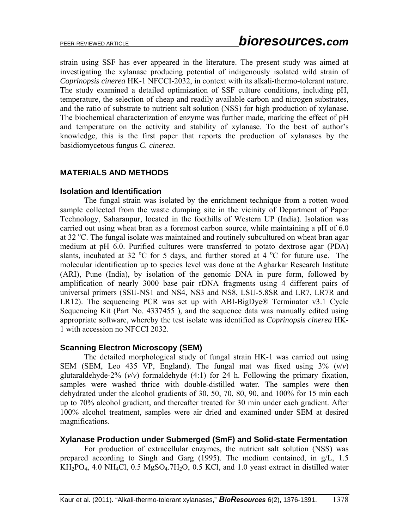strain using SSF has ever appeared in the literature. The present study was aimed at investigating the xylanase producing potential of indigenously isolated wild strain of *Coprinopsis cinerea* HK-1 NFCCI-2032, in context with its alkali-thermo-tolerant nature. The study examined a detailed optimization of SSF culture conditions, including pH, temperature, the selection of cheap and readily available carbon and nitrogen substrates, and the ratio of substrate to nutrient salt solution (NSS) for high production of xylanase. The biochemical characterization of enzyme was further made, marking the effect of pH and temperature on the activity and stability of xylanase. To the best of author's knowledge, this is the first paper that reports the production of xylanases by the basidiomycetous fungus *C. cinerea*.

## **MATERIALS AND METHODS**

### **Isolation and Identification**

The fungal strain was isolated by the enrichment technique from a rotten wood sample collected from the waste dumping site in the vicinity of Department of Paper Technology, Saharanpur, located in the foothills of Western UP (India). Isolation was carried out using wheat bran as a foremost carbon source, while maintaining a pH of 6.0 at 32 °C. The fungal isolate was maintained and routinely subcultured on wheat bran agar medium at pH 6.0. Purified cultures were transferred to potato dextrose agar (PDA) slants, incubated at 32  $\mathrm{^{\circ}C}$  for 5 days, and further stored at 4  $\mathrm{^{\circ}C}$  for future use. The molecular identification up to species level was done at the Agharkar Research Institute (ARI), Pune (India), by isolation of the genomic DNA in pure form, followed by amplification of nearly 3000 base pair rDNA fragments using 4 different pairs of universal primers (SSU-NS1 and NS4, NS3 and NS8, LSU-5.8SR and LR7, LR7R and LR12). The sequencing PCR was set up with ABI-BigDye® Terminator v3.1 Cycle Sequencing Kit (Part No. 4337455 ), and the sequence data was manually edited using appropriate software, whereby the test isolate was identified as *Coprinopsis cinerea* HK-1 with accession no NFCCI 2032.

### **Scanning Electron Microscopy (SEM)**

 The detailed morphological study of fungal strain HK-1 was carried out using SEM (SEM, Leo 435 VP, England). The fungal mat was fixed using  $3\%$  ( $v/v$ ) glutaraldehyde-2%  $(v/v)$  formaldehyde  $(4:1)$  for 24 h. Following the primary fixation, samples were washed thrice with double-distilled water. The samples were then dehydrated under the alcohol gradients of 30, 50, 70, 80, 90, and 100% for 15 min each up to 70% alcohol gradient, and thereafter treated for 30 min under each gradient. After 100% alcohol treatment, samples were air dried and examined under SEM at desired magnifications.

## **Xylanase Production under Submerged (SmF) and Solid-state Fermentation**

 For production of extracellular enzymes, the nutrient salt solution (NSS) was prepared according to Singh and Garg (1995). The medium contained, in g/L, 1.5  $KH_2PO_4$ , 4.0 NH<sub>4</sub>Cl, 0.5 MgSO<sub>4</sub>.7H<sub>2</sub>O, 0.5 KCl, and 1.0 yeast extract in distilled water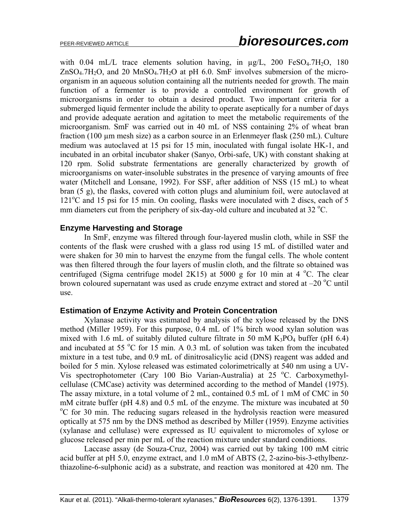with  $0.04$  mL/L trace elements solution having, in  $\mu$ g/L, 200 FeSO<sub>4</sub>.7H<sub>2</sub>O, 180  $ZnSO<sub>4</sub>$ .7H<sub>2</sub>O, and 20 MnSO<sub>4</sub>.7H<sub>2</sub>O at pH 6.0. SmF involves submersion of the microorganism in an aqueous solution containing all the nutrients needed for growth. The main function of a fermenter is to provide a controlled environment for growth of microorganisms in order to obtain a desired product. Two important criteria for a submerged liquid fermenter include the ability to operate aseptically for a number of days and provide adequate aeration and agitation to meet the metabolic requirements of the microorganism. SmF was carried out in 40 mL of NSS containing 2% of wheat bran fraction (100 um mesh size) as a carbon source in an Erlenmeyer flask (250 mL). Culture medium was autoclaved at 15 psi for 15 min, inoculated with fungal isolate HK-1, and incubated in an orbital incubator shaker (Sanyo, Orbi-safe, UK) with constant shaking at 120 rpm. Solid substrate fermentations are generally characterized by growth of microorganisms on water-insoluble substrates in the presence of varying amounts of free water (Mitchell and Lonsane, 1992). For SSF, after addition of NSS (15 mL) to wheat bran (5 g), the flasks, covered with cotton plugs and aluminium foil, were autoclaved at 121<sup>o</sup>C and 15 psi for 15 min. On cooling, flasks were inoculated with 2 discs, each of 5 mm diameters cut from the periphery of six-day-old culture and incubated at 32 $^{\circ}$ C.

### **Enzyme Harvesting and Storage**

 In SmF, enzyme was filtered through four-layered muslin cloth, while in SSF the contents of the flask were crushed with a glass rod using 15 mL of distilled water and were shaken for 30 min to harvest the enzyme from the fungal cells. The whole content was then filtered through the four layers of muslin cloth, and the filtrate so obtained was centrifuged (Sigma centrifuge model 2K15) at 5000 g for 10 min at 4  $^{\circ}$ C. The clear brown coloured supernatant was used as crude enzyme extract and stored at  $-20$  °C until use.

#### **Estimation of Enzyme Activity and Protein Concentration**

 Xylanase activity was estimated by analysis of the xylose released by the DNS method (Miller 1959). For this purpose, 0.4 mL of 1% birch wood xylan solution was mixed with 1.6 mL of suitably diluted culture filtrate in 50 mM  $K_3PO_4$  buffer (pH 6.4) and incubated at 55  $\degree$ C for 15 min. A 0.3 mL of solution was taken from the incubated mixture in a test tube, and 0.9 mL of dinitrosalicylic acid (DNS) reagent was added and boiled for 5 min. Xylose released was estimated colorimetrically at 540 nm using a UV-Vis spectrophotometer (Cary 100 Bio Varian-Australia) at 25 °C. Carboxymethylcellulase (CMCase) activity was determined according to the method of Mandel (1975). The assay mixture, in a total volume of 2 mL, contained 0.5 mL of 1 mM of CMC in 50 mM citrate buffer (pH  $4.8$ ) and  $0.5$  mL of the enzyme. The mixture was incubated at  $50$ C for 30 min. The reducing sugars released in the hydrolysis reaction were measured optically at 575 nm by the DNS method as described by Miller (1959). Enzyme activities (xylanase and cellulase) were expressed as IU equivalent to micromoles of xylose or glucose released per min per mL of the reaction mixture under standard conditions.

Laccase assay (de Souza-Cruz, 2004) was carried out by taking 100 mM citric acid buffer at pH 5.0, enzyme extract, and 1.0 mM of ABTS (2, 2-azino-bis-3-ethylbenzthiazoline-6-sulphonic acid) as a substrate, and reaction was monitored at 420 nm. The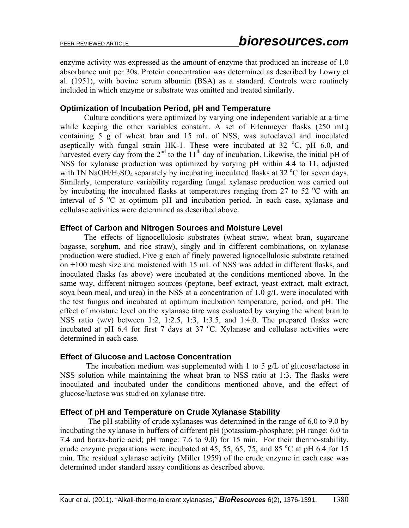enzyme activity was expressed as the amount of enzyme that produced an increase of 1.0 absorbance unit per 30s. Protein concentration was determined as described by Lowry et al. (1951), with bovine serum albumin (BSA) as a standard. Controls were routinely included in which enzyme or substrate was omitted and treated similarly.

### **Optimization of Incubation Period, pH and Temperature**

Culture conditions were optimized by varying one independent variable at a time while keeping the other variables constant. A set of Erlenmeyer flasks (250 mL) containing 5 g of wheat bran and 15 mL of NSS, was autoclaved and inoculated aseptically with fungal strain HK-1. These were incubated at 32  $^{\circ}$ C, pH 6.0, and harvested every day from the  $2<sup>nd</sup>$  to the  $11<sup>th</sup>$  day of incubation. Likewise, the initial pH of NSS for xylanase production was optimized by varying pH within 4.4 to 11, adjusted with 1N NaOH/H<sub>2</sub>SO<sub>4</sub> separately by incubating inoculated flasks at 32  $\rm{^{\circ}C}$  for seven days. Similarly, temperature variability regarding fungal xylanase production was carried out by incubating the inoculated flasks at temperatures ranging from 27 to 52  $\degree$ C with an interval of  $5^{\circ}$ C at optimum pH and incubation period. In each case, xylanase and cellulase activities were determined as described above.

### **Effect of Carbon and Nitrogen Sources and Moisture Level**

The effects of lignocellulosic substrates (wheat straw, wheat bran, sugarcane bagasse, sorghum, and rice straw), singly and in different combinations, on xylanase production were studied. Five g each of finely powered lignocellulosic substrate retained on +100 mesh size and moistened with 15 mL of NSS was added in different flasks, and inoculated flasks (as above) were incubated at the conditions mentioned above. In the same way, different nitrogen sources (peptone, beef extract, yeast extract, malt extract, soya bean meal, and urea) in the NSS at a concentration of 1.0 g/L were inoculated with the test fungus and incubated at optimum incubation temperature, period, and pH. The effect of moisture level on the xylanase titre was evaluated by varying the wheat bran to NSS ratio (*w*/*v*) between 1:2, 1:2.5, 1:3, 1:3.5, and 1:4.0. The prepared flasks were incubated at pH 6.4 for first 7 days at 37  $^{\circ}$ C. Xylanase and cellulase activities were determined in each case.

### **Effect of Glucose and Lactose Concentration**

 The incubation medium was supplemented with 1 to 5 g/L of glucose/lactose in NSS solution while maintaining the wheat bran to NSS ratio at 1:3. The flasks were inoculated and incubated under the conditions mentioned above, and the effect of glucose/lactose was studied on xylanase titre.

### **Effect of pH and Temperature on Crude Xylanase Stability**

 The pH stability of crude xylanases was determined in the range of 6.0 to 9.0 by incubating the xylanase in buffers of different pH (potassium-phosphate; pH range: 6.0 to 7.4 and borax-boric acid; pH range: 7.6 to 9.0) for 15 min. For their thermo-stability, crude enzyme preparations were incubated at 45, 55, 65, 75, and 85  $^{\circ}$ C at pH 6.4 for 15 min. The residual xylanase activity (Miller 1959) of the crude enzyme in each case was determined under standard assay conditions as described above.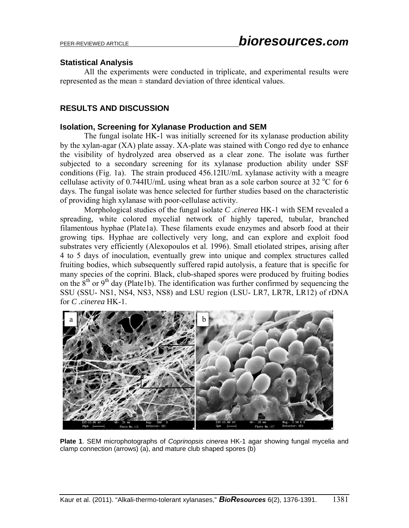### **Statistical Analysis**

 All the experiments were conducted in triplicate, and experimental results were represented as the mean  $\pm$  standard deviation of three identical values.

### **RESULTS AND DISCUSSION**

### **Isolation, Screening for Xylanase Production and SEM**

 The fungal isolate HK-1 was initially screened for its xylanase production ability by the xylan-agar (XA) plate assay. XA-plate was stained with Congo red dye to enhance the visibility of hydrolyzed area observed as a clear zone. The isolate was further subjected to a secondary screening for its xylanase production ability under SSF conditions (Fig. 1a). The strain produced 456.12IU/mL xylanase activity with a meagre cellulase activity of  $0.744$ IU/mL using wheat bran as a sole carbon source at 32 °C for 6 days. The fungal isolate was hence selected for further studies based on the characteristic of providing high xylanase with poor-cellulase activity.

Morphological studies of the fungal isolate *C .cinerea* HK-1 with SEM revealed a spreading, white colored mycelial network of highly tapered, tubular, branched filamentous hyphae (Plate1a). These filaments exude enzymes and absorb food at their growing tips. Hyphae are collectively very long, and can explore and exploit food substrates very efficiently (Alexopoulos et al. 1996). Small etiolated stripes, arising after 4 to 5 days of inoculation, eventually grew into unique and complex structures called fruiting bodies, which subsequently suffered rapid autolysis, a feature that is specific for many species of the coprini. Black, club-shaped spores were produced by fruiting bodies on the  $8<sup>th</sup>$  or 9<sup>th</sup> day (Plate1b). The identification was further confirmed by sequencing the SSU (SSU- NS1, NS4, NS3, NS8) and LSU region (LSU- LR7, LR7R, LR12) of rDNA for *C .cinerea* HK-1.



**Plate 1**. SEM microphotographs of *Coprinopsis cinerea* HK-1 agar showing fungal mycelia and clamp connection (arrows) (a), and mature club shaped spores (b)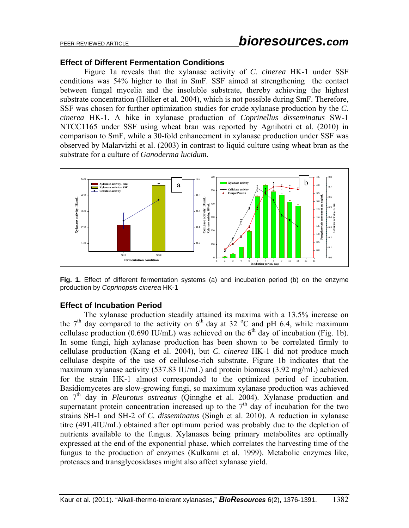#### **Effect of Different Fermentation Conditions**

 Figure 1a reveals that the xylanase activity of *C. cinerea* HK-1 under SSF conditions was 54% higher to that in SmF. SSF aimed at strengthening the contact between fungal mycelia and the insoluble substrate, thereby achieving the highest substrate concentration (Hölker et al. 2004), which is not possible during SmF. Therefore, SSF was chosen for further optimization studies for crude xylanase production by the *C. cinerea* HK-1. A hike in xylanase production of *Coprinellus disseminatus* SW-1 NTCC1165 under SSF using wheat bran was reported by Agnihotri et al. (2010) in comparison to SmF, while a 30-fold enhancement in xylanase production under SSF was observed by Malarvizhi et al. (2003) in contrast to liquid culture using wheat bran as the substrate for a culture of *Ganoderma lucidum.*



**Fig. 1.** Effect of different fermentation systems (a) and incubation period (b) on the enzyme production by *Coprinopsis cinerea* HK-1

#### **Effect of Incubation Period**

The xylanase production steadily attained its maxima with a 13.5% increase on the  $7<sup>th</sup>$  day compared to the activity on  $6<sup>th</sup>$  day at 32 °C and pH 6.4, while maximum cellulase production (0.690 IU/mL) was achieved on the  $6<sup>th</sup>$  day of incubation (Fig. 1b). In some fungi, high xylanase production has been shown to be correlated firmly to cellulase production (Kang et al. 2004), but *C. cinerea* HK-1 did not produce much cellulase despite of the use of cellulose-rich substrate. Figure 1b indicates that the maximum xylanase activity (537.83 IU/mL) and protein biomass (3.92 mg/mL) achieved for the strain HK-1 almost corresponded to the optimized period of incubation. Basidiomycetes are slow-growing fungi, so maximum xylanase production was achieved on 7th day in *Pleurotus ostreatus* (Qinnghe et al. 2004). Xylanase production and supernatant protein concentration increased up to the  $7<sup>th</sup>$  day of incubation for the two strains SH-1 and SH-2 of *C. disseminatus* (Singh et al. 2010). A reduction in xylanase titre (491.4IU/mL) obtained after optimum period was probably due to the depletion of nutrients available to the fungus. Xylanases being primary metabolites are optimally expressed at the end of the exponential phase, which correlates the harvesting time of the fungus to the production of enzymes (Kulkarni et al. 1999). Metabolic enzymes like, proteases and transglycosidases might also affect xylanase yield.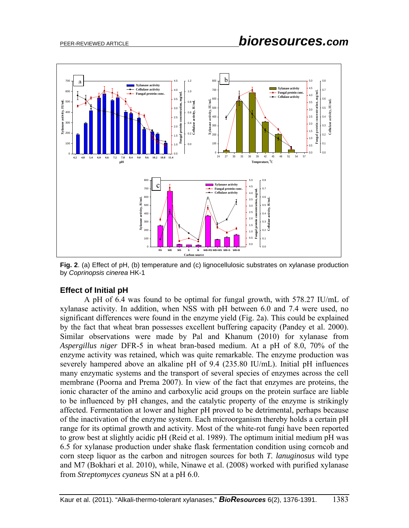

**Fig. 2**. (a) Effect of pH, (b) temperature and (c) lignocellulosic substrates on xylanase production by *Coprinopsis cinerea* HK-1

### **Effect of Initial pH**

A pH of 6.4 was found to be optimal for fungal growth, with 578.27 IU/mL of xylanase activity. In addition, when NSS with pH between 6.0 and 7.4 were used, no significant differences were found in the enzyme yield (Fig. 2a). This could be explained by the fact that wheat bran possesses excellent buffering capacity (Pandey et al. 2000). Similar observations were made by Pal and Khanum (2010) for xylanase from *Aspergillus niger* DFR-5 in wheat bran-based medium. At a pH of 8.0, 70% of the enzyme activity was retained, which was quite remarkable. The enzyme production was severely hampered above an alkaline pH of 9.4 (235.80 IU/mL). Initial pH influences many enzymatic systems and the transport of several species of enzymes across the cell membrane (Poorna and Prema 2007). In view of the fact that enzymes are proteins, the ionic character of the amino and carboxylic acid groups on the protein surface are liable to be influenced by pH changes, and the catalytic property of the enzyme is strikingly affected. Fermentation at lower and higher pH proved to be detrimental, perhaps because of the inactivation of the enzyme system. Each microorganism thereby holds a certain pH range for its optimal growth and activity. Most of the white-rot fungi have been reported to grow best at slightly acidic pH (Reid et al. 1989). The optimum initial medium pH was 6.5 for xylanase production under shake flask fermentation condition using corncob and corn steep liquor as the carbon and nitrogen sources for both *T. lanuginosus* wild type and M7 (Bokhari et al. 2010), while, Ninawe et al. (2008) worked with purified xylanase from *Streptomyces cyaneus* SN at a pH 6.0.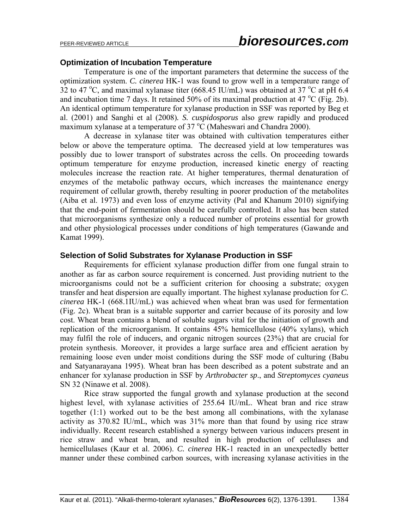### **Optimization of Incubation Temperature**

Temperature is one of the important parameters that determine the success of the optimization system. *C. cinerea* HK-1 was found to grow well in a temperature range of 32 to 47 °C, and maximal xylanase titer (668.45 IU/mL) was obtained at 37 °C at pH 6.4 and incubation time 7 days. It retained 50% of its maximal production at 47  $^{\circ}$ C (Fig. 2b). An identical optimum temperature for xylanase production in SSF was reported by Beg et al. (2001) and Sanghi et al (2008)*. S. cuspidosporus* also grew rapidly and produced maximum xylanase at a temperature of 37 $\mathrm{^{\circ}C}$  (Maheswari and Chandra 2000).

A decrease in xylanase titer was obtained with cultivation temperatures either below or above the temperature optima. The decreased yield at low temperatures was possibly due to lower transport of substrates across the cells. On proceeding towards optimum temperature for enzyme production, increased kinetic energy of reacting molecules increase the reaction rate. At higher temperatures, thermal denaturation of enzymes of the metabolic pathway occurs, which increases the maintenance energy requirement of cellular growth, thereby resulting in poorer production of the metabolites (Aiba et al. 1973) and even loss of enzyme activity (Pal and Khanum 2010) signifying that the end-point of fermentation should be carefully controlled. It also has been stated that microorganisms synthesize only a reduced number of proteins essential for growth and other physiological processes under conditions of high temperatures (Gawande and Kamat 1999).

### **Selection of Solid Substrates for Xylanase Production in SSF**

 Requirements for efficient xylanase production differ from one fungal strain to another as far as carbon source requirement is concerned. Just providing nutrient to the microorganisms could not be a sufficient criterion for choosing a substrate; oxygen transfer and heat dispersion are equally important. The highest xylanase production for *C. cinerea* HK-1 (668.1IU/mL) was achieved when wheat bran was used for fermentation (Fig. 2c). Wheat bran is a suitable supporter and carrier because of its porosity and low cost. Wheat bran contains a blend of soluble sugars vital for the initiation of growth and replication of the microorganism. It contains 45% hemicellulose (40% xylans), which may fulfil the role of inducers, and organic nitrogen sources (23%) that are crucial for protein synthesis. Moreover, it provides a large surface area and efficient aeration by remaining loose even under moist conditions during the SSF mode of culturing (Babu and Satyanarayana 1995). Wheat bran has been described as a potent substrate and an enhancer for xylanase production in SSF by *Arthrobacter sp*., and *Streptomyces cyaneus* SN 32 (Ninawe et al. 2008).

 Rice straw supported the fungal growth and xylanase production at the second highest level, with xylanase activities of 255.64 IU/mL. Wheat bran and rice straw together (1:1) worked out to be the best among all combinations, with the xylanase activity as 370.82 IU/mL, which was 31% more than that found by using rice straw individually. Recent research established a synergy between various inducers present in rice straw and wheat bran, and resulted in high production of cellulases and hemicellulases (Kaur et al. 2006). *C. cinerea* HK-1 reacted in an unexpectedly better manner under these combined carbon sources, with increasing xylanase activities in the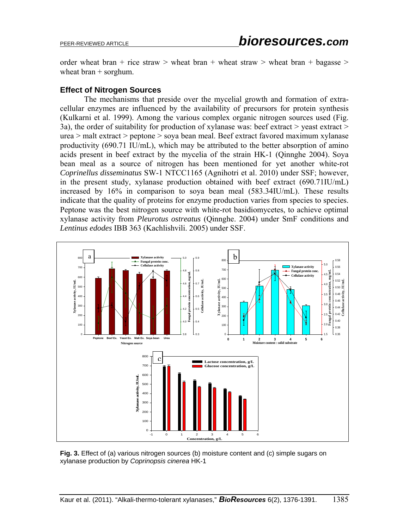order wheat bran + rice straw > wheat bran + wheat straw > wheat bran + bagasse > wheat  $branch +$  sorghum.

### **Effect of Nitrogen Sources**

The mechanisms that preside over the mycelial growth and formation of extracellular enzymes are influenced by the availability of precursors for protein synthesis (Kulkarni et al. 1999). Among the various complex organic nitrogen sources used (Fig. 3a), the order of suitability for production of xylanase was: beef extract  $>$  yeast extract  $>$ urea > malt extract > peptone > soya bean meal. Beef extract favored maximum xylanase productivity (690.71 IU/mL), which may be attributed to the better absorption of amino acids present in beef extract by the mycelia of the strain HK-1 (Qinnghe 2004). Soya bean meal as a source of nitrogen has been mentioned for yet another white-rot *Coprinellus disseminatus* SW-1 NTCC1165 (Agnihotri et al. 2010) under SSF; however, in the present study, xylanase production obtained with beef extract (690.71IU/mL) increased by 16% in comparison to soya bean meal (583.34IU/mL). These results indicate that the quality of proteins for enzyme production varies from species to species. Peptone was the best nitrogen source with white-rot basidiomycetes, to achieve optimal xylanase activity from *Pleurotus ostreatus* (Qinnghe. 2004) under SmF conditions and *Lentinus edodes* IBB 363 (Kachlishvili. 2005) under SSF.



**Fig. 3.** Effect of (a) various nitrogen sources (b) moisture content and (c) simple sugars on xylanase production by *Coprinopsis cinerea* HK-1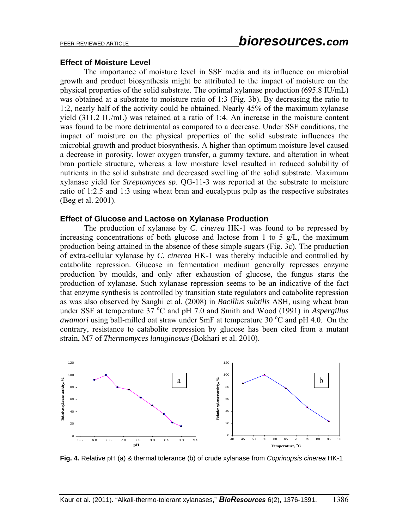#### **Effect of Moisture Level**

 The importance of moisture level in SSF media and its influence on microbial growth and product biosynthesis might be attributed to the impact of moisture on the physical properties of the solid substrate. The optimal xylanase production (695.8 IU/mL) was obtained at a substrate to moisture ratio of 1:3 (Fig. 3b). By decreasing the ratio to 1:2, nearly half of the activity could be obtained. Nearly 45% of the maximum xylanase yield (311.2 IU/mL) was retained at a ratio of 1:4. An increase in the moisture content was found to be more detrimental as compared to a decrease. Under SSF conditions, the impact of moisture on the physical properties of the solid substrate influences the microbial growth and product biosynthesis. A higher than optimum moisture level caused a decrease in porosity, lower oxygen transfer, a gummy texture, and alteration in wheat bran particle structure, whereas a low moisture level resulted in reduced solubility of nutrients in the solid substrate and decreased swelling of the solid substrate. Maximum xylanase yield for *Streptomyces sp*. QG-11-3 was reported at the substrate to moisture ratio of 1:2.5 and 1:3 using wheat bran and eucalyptus pulp as the respective substrates (Beg et al. 2001).

#### **Effect of Glucose and Lactose on Xylanase Production**

The production of xylanase by *C. cinerea* HK-1 was found to be repressed by increasing concentrations of both glucose and lactose from 1 to 5  $g/L$ , the maximum production being attained in the absence of these simple sugars (Fig. 3c). The production of extra-cellular xylanase by *C. cinerea* HK-1 was thereby inducible and controlled by catabolite repression. Glucose in fermentation medium generally represses enzyme production by moulds, and only after exhaustion of glucose, the fungus starts the production of xylanase. Such xylanase repression seems to be an indicative of the fact that enzyme synthesis is controlled by transition state regulators and catabolite repression as was also observed by Sanghi et al. (2008) in *Bacillus subtilis* ASH, using wheat bran under SSF at temperature 37<sup>°</sup>C and pH 7.0 and Smith and Wood (1991) in *Aspergillus awamori* using ball-milled oat straw under SmF at temperature 30  $^{\circ}$ C and pH 4.0. On the contrary, resistance to catabolite repression by glucose has been cited from a mutant strain, M7 of *Thermomyces lanuginosus* (Bokhari et al. 2010).



**Fig. 4.** Relative pH (a) & thermal tolerance (b) of crude xylanase from *Coprinopsis cinerea* HK-1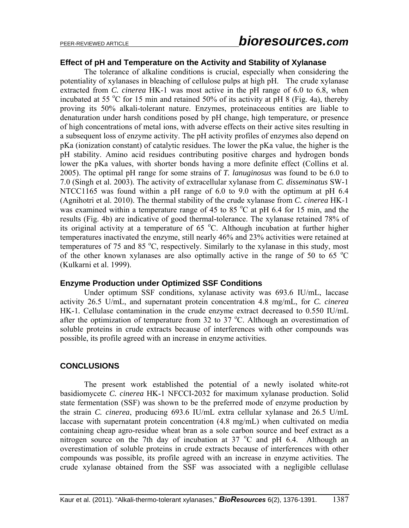# PEER-REVIEWED ARTICLE *bioresources.com*

#### **Effect of pH and Temperature on the Activity and Stability of Xylanase**

The tolerance of alkaline conditions is crucial, especially when considering the potentiality of xylanases in bleaching of cellulose pulps at high pH. The crude xylanase extracted from *C. cinerea* HK-1 was most active in the pH range of 6.0 to 6.8, when incubated at 55  $\degree$ C for 15 min and retained 50% of its activity at pH 8 (Fig. 4a), thereby proving its 50% alkali-tolerant nature. Enzymes, proteinaceous entities are liable to denaturation under harsh conditions posed by pH change, high temperature, or presence of high concentrations of metal ions, with adverse effects on their active sites resulting in a subsequent loss of enzyme activity. The pH activity profiles of enzymes also depend on pKa (ionization constant) of catalytic residues. The lower the pKa value, the higher is the pH stability. Amino acid residues contributing positive charges and hydrogen bonds lower the pKa values, with shorter bonds having a more definite effect (Collins et al. 2005). The optimal pH range for some strains of *T. lanuginosus* was found to be 6.0 to 7.0 (Singh et al. 2003). The activity of extracellular xylanase from *C. disseminatus* SW-1 NTCC1165 was found within a pH range of 6.0 to 9.0 with the optimum at pH 6.4 (Agnihotri et al. 2010). The thermal stability of the crude xylanase from *C. cinerea* HK-1 was examined within a temperature range of 45 to 85  $^{\circ}$ C at pH 6.4 for 15 min, and the results (Fig. 4b) are indicative of good thermal-tolerance. The xylanase retained 78% of its original activity at a temperature of  $65^{\circ}$ C. Although incubation at further higher temperatures inactivated the enzyme, still nearly 46% and 23% activities were retained at temperatures of 75 and 85 °C, respectively. Similarly to the xylanase in this study, most of the other known xylanases are also optimally active in the range of 50 to 65  $^{\circ}$ C (Kulkarni et al. 1999).

#### **Enzyme Production under Optimized SSF Conditions**

Under optimum SSF conditions, xylanase activity was 693.6 IU/mL, laccase activity 26.5 U/mL, and supernatant protein concentration 4.8 mg/mL, for *C. cinerea* HK-1*.* Cellulase contamination in the crude enzyme extract decreased to 0.550 IU/mL after the optimization of temperature from 32 to 37  $^{\circ}$ C. Although an overestimation of soluble proteins in crude extracts because of interferences with other compounds was possible, its profile agreed with an increase in enzyme activities.

#### **CONCLUSIONS**

The present work established the potential of a newly isolated white-rot basidiomycete *C. cinerea* HK-1 NFCCI-2032 for maximum xylanase production. Solid state fermentation (SSF) was shown to be the preferred mode of enzyme production by the strain *C. cinerea*, producing 693.6 IU/mL extra cellular xylanase and 26.5 U/mL laccase with supernatant protein concentration (4.8 mg/mL) when cultivated on media containing cheap agro-residue wheat bran as a sole carbon source and beef extract as a nitrogen source on the 7th day of incubation at 37  $^{\circ}$ C and pH 6.4. Although an overestimation of soluble proteins in crude extracts because of interferences with other compounds was possible, its profile agreed with an increase in enzyme activities. The crude xylanase obtained from the SSF was associated with a negligible cellulase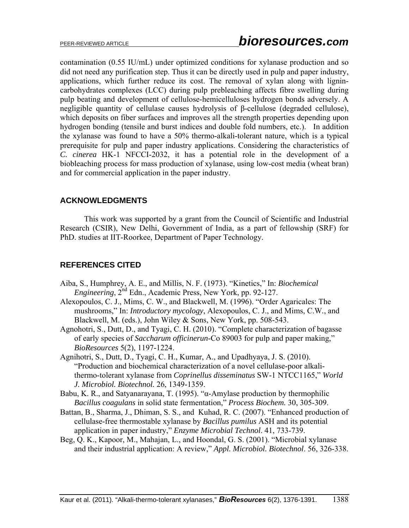contamination (0.55 IU/mL) under optimized conditions for xylanase production and so did not need any purification step. Thus it can be directly used in pulp and paper industry, applications, which further reduce its cost. The removal of xylan along with lignincarbohydrates complexes (LCC) during pulp prebleaching affects fibre swelling during pulp beating and development of cellulose-hemicelluloses hydrogen bonds adversely. A negligible quantity of cellulase causes hydrolysis of β-cellulose (degraded cellulose), which deposits on fiber surfaces and improves all the strength properties depending upon hydrogen bonding (tensile and burst indices and double fold numbers, etc.). In addition the xylanase was found to have a 50% thermo-alkali-tolerant nature, which is a typical prerequisite for pulp and paper industry applications. Considering the characteristics of *C. cinerea* HK-1 NFCCI-2032, it has a potential role in the development of a biobleaching process for mass production of xylanase, using low-cost media (wheat bran) and for commercial application in the paper industry.

### **ACKNOWLEDGMENTS**

This work was supported by a grant from the Council of Scientific and Industrial Research (CSIR), New Delhi, Government of India, as a part of fellowship (SRF) for PhD. studies at IIT-Roorkee, Department of Paper Technology.

# **REFERENCES CITED**

- Aiba, S., Humphrey, A. E., and Millis, N. F. (1973). "Kinetics," In: *Biochemical Engineering*, 2nd Edn., Academic Press, New York, pp. 92-127.
- Alexopoulos, C. J., Mims, C. W., and Blackwell, M. (1996). "Order Agaricales: The mushrooms," In: *Introductory mycology*, Alexopoulos, C. J., and Mims, C.W*.*, and Blackwell, M. (eds.), John Wiley & Sons, New York, pp. 508-543.
- Agnohotri, S., Dutt, D., and Tyagi, C. H. (2010). "Complete characterization of bagasse of early species of *Saccharum officinerun*-Co 89003 for pulp and paper making," *BioResources* 5(2), 1197-1224.
- Agnihotri, S., Dutt, D., Tyagi, C. H., Kumar, A., and Upadhyaya, J. S. (2010). "Production and biochemical characterization of a novel cellulase-poor alkalithermo-tolerant xylanase from *Coprinellus disseminatus* SW-1 NTCC1165," *World J. Microbiol. Biotechnol.* 26, 1349-1359.
- Babu, K. R., and Satyanarayana, T. (1995). "α-Amylase production by thermophilic *Bacillus coagulans* in solid state fermentation," *Process Biochem.* 30, 305-309.
- Battan, B., Sharma, J., Dhiman, S. S., and Kuhad, R. C. (2007). "Enhanced production of cellulase-free thermostable xylanase by *Bacillus pumilus* ASH and its potential application in paper industry," *Enzyme Microbial Technol*. 41, 733-739.
- Beg, Q. K., Kapoor, M., Mahajan, L., and Hoondal, G. S. (2001). "Microbial xylanase and their industrial application: A review," *Appl. Microbiol. Biotechnol*. 56, 326-338.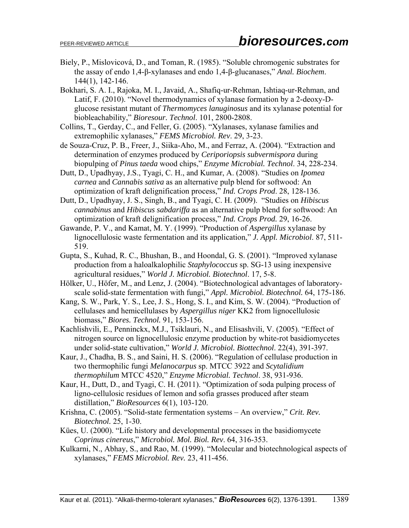- Biely, P., Mislovicová, D., and Toman, R. (1985). "Soluble chromogenic substrates for the assay of endo 1,4-β-xylanases and endo 1,4-β-glucanases," *Anal. Biochem*. 144(1), 142-146.
- Bokhari, S. A. I., Rajoka, M. I., Javaid, A., Shafiq-ur-Rehman, Ishtiaq-ur-Rehman, and Latif, F. (2010). "Novel thermodynamics of xylanase formation by a 2-deoxy-Dglucose resistant mutant of *Thermomyces lanuginosus* and its xylanase potential for biobleachability," *Bioresour. Technol*. 101, 2800-2808.
- Collins, T., Gerday, C., and Feller, G. (2005). "Xylanases, xylanase families and extremophilic xylanases," *FEMS Microbiol. Rev*. 29, 3-23.
- de Souza-Cruz, P. B., Freer, J., Siika-Aho, M., and Ferraz, A. (2004). "Extraction and determination of enzymes produced by *Ceriporiopsis subvermispora* during biopulping of *Pinus taeda* wood chips," *Enzyme Microbial. Technol*. 34, 228-234.
- Dutt, D., Upadhyay, J.S., Tyagi, C. H., and Kumar, A. (2008). "Studies on *Ipomea carnea* and *Cannabis sativa* as an alternative pulp blend for softwood: An optimization of kraft delignification process," *Ind. Crops Prod*. 28, 128-136.
- Dutt, D., Upadhyay, J. S., Singh, B., and Tyagi, C. H. (2009). "Studies on *Hibiscus cannabinus* and *Hibiscus sabdariffa* as an alternative pulp blend for softwood: An optimization of kraft delignification process," *Ind. Crops Prod.* 29, 16-26.
- Gawande, P. V., and Kamat, M. Y. (1999). "Production of *Aspergillus* xylanase by lignocellulosic waste fermentation and its application," *J. Appl. Microbiol*. 87, 511- 519.
- Gupta, S., Kuhad, R. C., Bhushan, B., and Hoondal, G. S. (2001). "Improved xylanase production from a haloalkalophilic *Staphylococcus* sp. SG-13 using inexpensive agricultural residues," *World J. Microbiol. Biotechnol*. 17, 5-8.
- Hölker, U., Höfer, M., and Lenz, J. (2004). "Biotechnological advantages of laboratoryscale solid-state fermentation with fungi," *Appl. Microbiol. Biotechnol.* 64, 175-186.
- Kang, S. W., Park, Y. S., Lee, J. S., Hong, S. I., and Kim, S. W. (2004). "Production of cellulases and hemicellulases by *Aspergillus niger* KK2 from lignocellulosic biomass," *Biores. Technol.* 91, 153-156.
- Kachlishvili, E., Penninckx, M.J., Tsiklauri, N., and Elisashvili, V. (2005). "Effect of nitrogen source on lignocellulosic enzyme production by white-rot basidiomycetes under solid-state cultivation," *World J. Microbiol. Biottechnol*. 22(4), 391-397.
- Kaur, J., Chadha, B. S., and Saini, H. S. (2006). "Regulation of cellulase production in two thermophilic fungi *Melanocarpus* sp. MTCC 3922 and *Scytalidium thermophilum* MTCC 4520," *Enzyme Microbial. Technol*. 38, 931-936.
- Kaur, H., Dutt, D., and Tyagi, C. H. (2011). "Optimization of soda pulping process of ligno-cellulosic residues of lemon and sofia grasses produced after steam distillation," *BioResources* 6(1), 103-120.
- Krishna, C. (2005). "Solid-state fermentation systems An overview," *Crit. Rev. Biotechnol.* 25, 1-30.
- Kües, U. (2000). "Life history and developmental processes in the basidiomycete *Coprinus cinereus*," *Microbiol. Mol. Biol. Rev*. 64, 316-353.
- Kulkarni, N., Abhay, S., and Rao, M. (1999). "Molecular and biotechnological aspects of xylanases," *FEMS Microbiol. Rev.* 23, 411-456.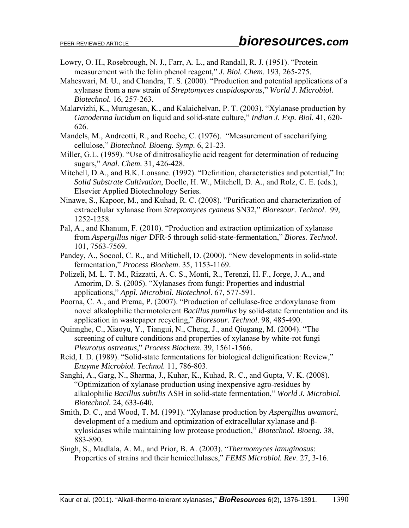- Lowry, O. H., Rosebrough, N. J., Farr, A. L., and Randall, R. J. (1951). "Protein measurement with the folin phenol reagent," *J. Biol. Chem*. 193, 265-275.
- Maheswari, M. U., and Chandra, T. S. (2000). "Production and potential applications of a xylanase from a new strain of *Streptomyces cuspidosporus*," *World J. Microbiol. Biotechnol.* 16, 257-263.
- Malarvizhi, K., Murugesan, K., and Kalaichelvan, P. T. (2003). "Xylanase production by *Ganoderma lucidum* on liquid and solid-state culture," *Indian J. Exp. Biol*. 41, 620- 626.
- Mandels, M., Andreotti, R., and Roche, C. (1976). "Measurement of saccharifying cellulose," *Biotechnol. Bioeng. Symp.* 6, 21-23.
- Miller, G.L. (1959). "Use of dinitrosalicylic acid reagent for determination of reducing sugars," *Anal. Chem.* 31, 426-428.
- Mitchell, D.A., and B.K. Lonsane. (1992). "Definition, characteristics and potential," In: *Solid Substrate Cultivation*, Doelle, H. W., Mitchell, D. A., and Rolz, C. E. (eds.), Elsevier Applied Biotechnology Series.
- Ninawe, S., Kapoor, M., and Kuhad, R. C. (2008). "Purification and characterization of extracellular xylanase from *Streptomyces cyaneus* SN32," *Bioresour. Technol*. 99, 1252-1258.
- Pal, A., and Khanum, F. (2010). "Production and extraction optimization of xylanase from *Aspergillus niger* DFR-5 through solid-state-fermentation," *Biores. Technol*. 101, 7563-7569.
- Pandey, A., Socool, C. R., and Mitichell, D. (2000). "New developments in solid-state fermentation," *Process Biochem*. 35, 1153-1169.
- Polizeli, M. L. T. M., Rizzatti, A. C. S., Monti, R., Terenzi, H. F., Jorge, J. A., and Amorim, D. S. (2005). "Xylanases from fungi: Properties and industrial applications," *Appl. Microbiol. Biotechnol*. 67, 577-591.
- Poorna, C. A., and Prema, P. (2007). "Production of cellulase-free endoxylanase from novel alkalophilic thermotolerent *Bacillus pumilus* by solid-state fermentation and its application in wastepaper recycling," *Bioresour. Technol*. 98, 485-490.
- Quinnghe, C., Xiaoyu, Y., Tiangui, N., Cheng, J., and Qiugang, M. (2004). "The screening of culture conditions and properties of xylanase by white-rot fungi *Pleurotus ostreatus*," *Process Biochem*. 39, 1561-1566.
- Reid, I. D. (1989). "Solid-state fermentations for biological delignification: Review," *Enzyme Microbiol. Technol.* 11, 786-803.
- Sanghi, A., Garg, N., Sharma, J., Kuhar, K., Kuhad, R. C., and Gupta, V. K. (2008). "Optimization of xylanase production using inexpensive agro-residues by alkalophilic *Bacillus subtilis* ASH in solid-state fermentation," *World J. Microbiol. Biotechnol.* 24, 633-640.
- Smith, D. C., and Wood, T. M. (1991). "Xylanase production by *Aspergillus awamori*, development of a medium and optimization of extracellular xylanase and βxylosidases while maintaining low protease production," *Biotechnol. Bioeng.* 38, 883-890.
- Singh, S., Madlala, A. M., and Prior, B. A. (2003). "*Thermomyces lanuginosus*: Properties of strains and their hemicellulases," *FEMS Microbiol. Rev*. 27, 3-16.